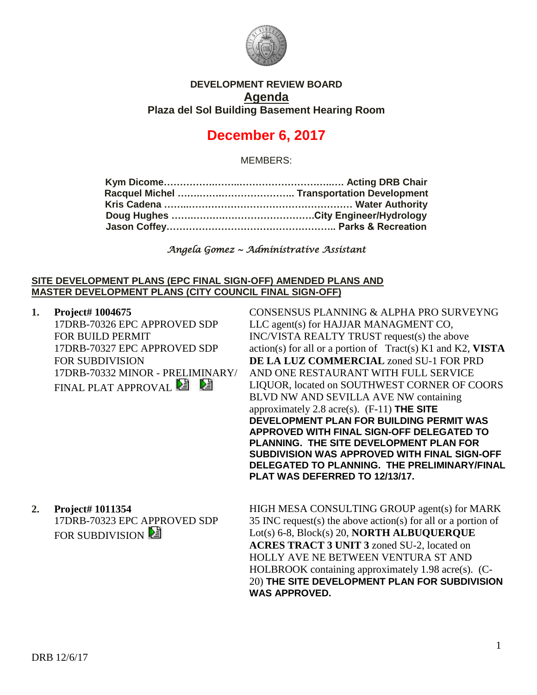

## **DEVELOPMENT REVIEW BOARD Agenda Plaza del Sol Building Basement Hearing Room**

# **December 6, 2017**

MEMBERS:

*Angela Gomez ~ Administrative Assistant* 

### **SITE DEVELOPMENT PLANS (EPC FINAL SIGN-OFF) AMENDED PLANS AND MASTER DEVELOPMENT PLANS (CITY COUNCIL FINAL SIGN-OFF)**

**1. Project# 1004675** 17DRB-70326 EPC APPROVED SDP FOR BUILD PERMIT 17DRB-70327 EPC APPROVED SDP FOR SUBDIVISION 17DRB-70332 MINOR - PRELIMINARY/ FINAL PLAT APPROVAL<sup>2</sup>

CONSENSUS PLANNING & ALPHA PRO SURVEYNG LLC agent(s) for HAJJAR MANAGMENT CO, INC/VISTA REALTY TRUST request(s) the above action(s) for all or a portion of Tract(s) K1 and K2, **VISTA DE LA LUZ COMMERCIAL** zoned SU-1 FOR PRD AND ONE RESTAURANT WITH FULL SERVICE LIQUOR, located on SOUTHWEST CORNER OF COORS BLVD NW AND SEVILLA AVE NW containing approximately 2.8 acre(s). (F-11) **THE SITE DEVELOPMENT PLAN FOR BUILDING PERMIT WAS APPROVED WITH FINAL SIGN-OFF DELEGATED TO PLANNING. THE SITE DEVELOPMENT PLAN FOR SUBDIVISION WAS APPROVED WITH FINAL SIGN-OFF DELEGATED TO PLANNING. THE PRELIMINARY/FINAL PLAT WAS DEFERRED TO 12/13/17.**

**2. Project# 1011354** 17DRB-70323 EPC APPROVED SDP FOR SUBDIVISION

HIGH MESA CONSULTING GROUP agent(s) for MARK 35 INC request(s) the above action(s) for all or a portion of Lot(s) 6-8, Block(s) 20, **NORTH ALBUQUERQUE ACRES TRACT 3 UNIT 3** zoned SU-2, located on HOLLY AVE NE BETWEEN VENTURA ST AND HOLBROOK containing approximately 1.98 acre(s). (C-20) **THE SITE DEVELOPMENT PLAN FOR SUBDIVISION WAS APPROVED.**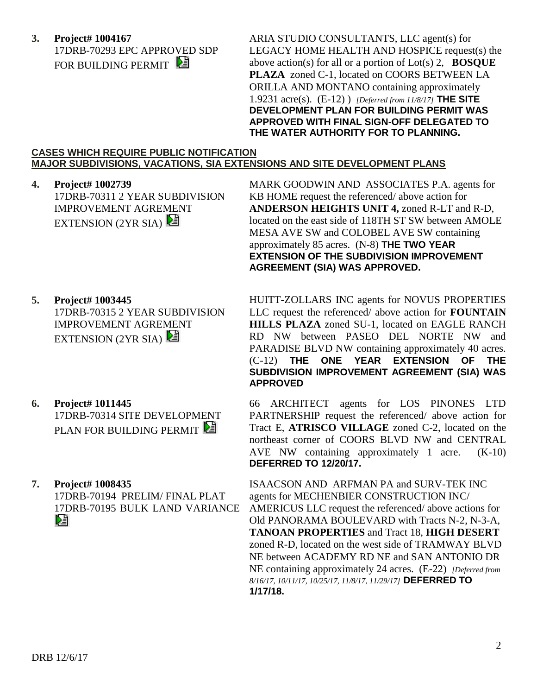**3. Project# 1004167** 17DRB-70293 EPC APPROVED SDP FOR BUILDING PERMIT

ARIA STUDIO CONSULTANTS, LLC agent(s) for LEGACY HOME HEALTH AND HOSPICE request(s) the above action(s) for all or a portion of Lot(s) 2, **BOSQUE PLAZA** zoned C-1, located on COORS BETWEEN LA ORILLA AND MONTANO containing approximately 1.9231 acre(s). (E-12) ) *[Deferred from 11/8/17]* **THE SITE DEVELOPMENT PLAN FOR BUILDING PERMIT WAS APPROVED WITH FINAL SIGN-OFF DELEGATED TO THE WATER AUTHORITY FOR TO PLANNING.**

#### **CASES WHICH REQUIRE PUBLIC NOTIFICATION MAJOR SUBDIVISIONS, VACATIONS, SIA EXTENSIONS AND SITE DEVELOPMENT PLANS**

**4. Project# 1002739** 17DRB-70311 2 YEAR SUBDIVISION IMPROVEMENT AGREMENT EXTENSION (2YR SIA)

MARK GOODWIN AND ASSOCIATES P.A. agents for KB HOME request the referenced/ above action for **ANDERSON HEIGHTS UNIT 4,** zoned R-LT and R-D, located on the east side of 118TH ST SW between AMOLE MESA AVE SW and COLOBEL AVE SW containing approximately 85 acres. (N-8) **THE TWO YEAR EXTENSION OF THE SUBDIVISION IMPROVEMENT AGREEMENT (SIA) WAS APPROVED.**

**5. Project# 1003445** 17DRB-70315 2 YEAR SUBDIVISION

IMPROVEMENT AGREMENT EXTENSION (2YR SIA)

- **6. Project# 1011445** 17DRB-70314 SITE DEVELOPMENT PLAN FOR BUILDING PERMIT
- **7. Project# 1008435**

17DRB-70194 PRELIM/ FINAL PLAT 17DRB-70195 BULK LAND VARIANCE DJ

HUITT-ZOLLARS INC agents for NOVUS PROPERTIES LLC request the referenced/ above action for **FOUNTAIN HILLS PLAZA** zoned SU-1, located on EAGLE RANCH RD NW between PASEO DEL NORTE NW and PARADISE BLVD NW containing approximately 40 acres. (C-12) **THE ONE YEAR EXTENSION OF THE SUBDIVISION IMPROVEMENT AGREEMENT (SIA) WAS APPROVED**

66 ARCHITECT agents for LOS PINONES LTD PARTNERSHIP request the referenced/ above action for Tract E, **ATRISCO VILLAGE** zoned C-2, located on the northeast corner of COORS BLVD NW and CENTRAL AVE NW containing approximately 1 acre. (K-10) **DEFERRED TO 12/20/17.**

ISAACSON AND ARFMAN PA and SURV-TEK INC agents for MECHENBIER CONSTRUCTION INC/ AMERICUS LLC request the referenced/ above actions for Old PANORAMA BOULEVARD with Tracts N-2, N-3-A, **TANOAN PROPERTIES** and Tract 18, **HIGH DESERT** zoned R-D, located on the west side of TRAMWAY BLVD NE between ACADEMY RD NE and SAN ANTONIO DR NE containing approximately 24 acres. (E-22) *[Deferred from 8/16/17, 10/11/17, 10/25/17, 11/8/17, 11/29/17]* **DEFERRED TO 1/17/18.**